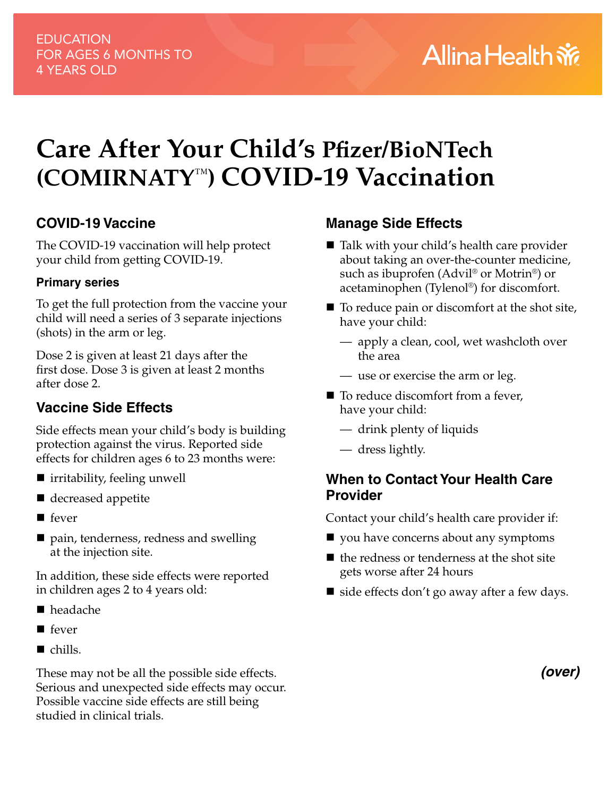# **Care After Your Child's Pfizer/BioNTech (COMIRNATY**™**) COVID-19 Vaccination**

## **COVID-19 Vaccine**

The COVID-19 vaccination will help protect your child from getting COVID-19.

## **Primary series**

To get the full protection from the vaccine your child will need a series of 3 separate injections (shots) in the arm or leg.

Dose 2 is given at least 21 days after the first dose. Dose 3 is given at least 2 months after dose 2.

# **Vaccine Side Effects**

Side effects mean your child's body is building protection against the virus. Reported side effects for children ages 6 to 23 months were:

- irritability, feeling unwell
- decreased appetite
- $\blacksquare$  fever
- pain, tenderness, redness and swelling at the injection site.

In addition, these side effects were reported in children ages 2 to 4 years old:

- headache
- $\blacksquare$  fever
- $\blacksquare$  chills.

These may not be all the possible side effects. Serious and unexpected side effects may occur. Possible vaccine side effects are still being studied in clinical trials.

## **Manage Side Effects**

- Talk with your child's health care provider about taking an over-the-counter medicine, such as ibuprofen (Advil® or Motrin®) or acetaminophen (Tylenol®) for discomfort.
- $\blacksquare$  To reduce pain or discomfort at the shot site, have your child:
	- apply a clean, cool, wet washcloth over the area
	- use or exercise the arm or leg.
- To reduce discomfort from a fever, have your child:
	- drink plenty of liquids
	- dress lightly.

## **When to Contact Your Health Care Provider**

Contact your child's health care provider if:

- vou have concerns about any symptoms
- $\blacksquare$  the redness or tenderness at the shot site gets worse after 24 hours
- $\blacksquare$  side effects don't go away after a few days.

*(over)*